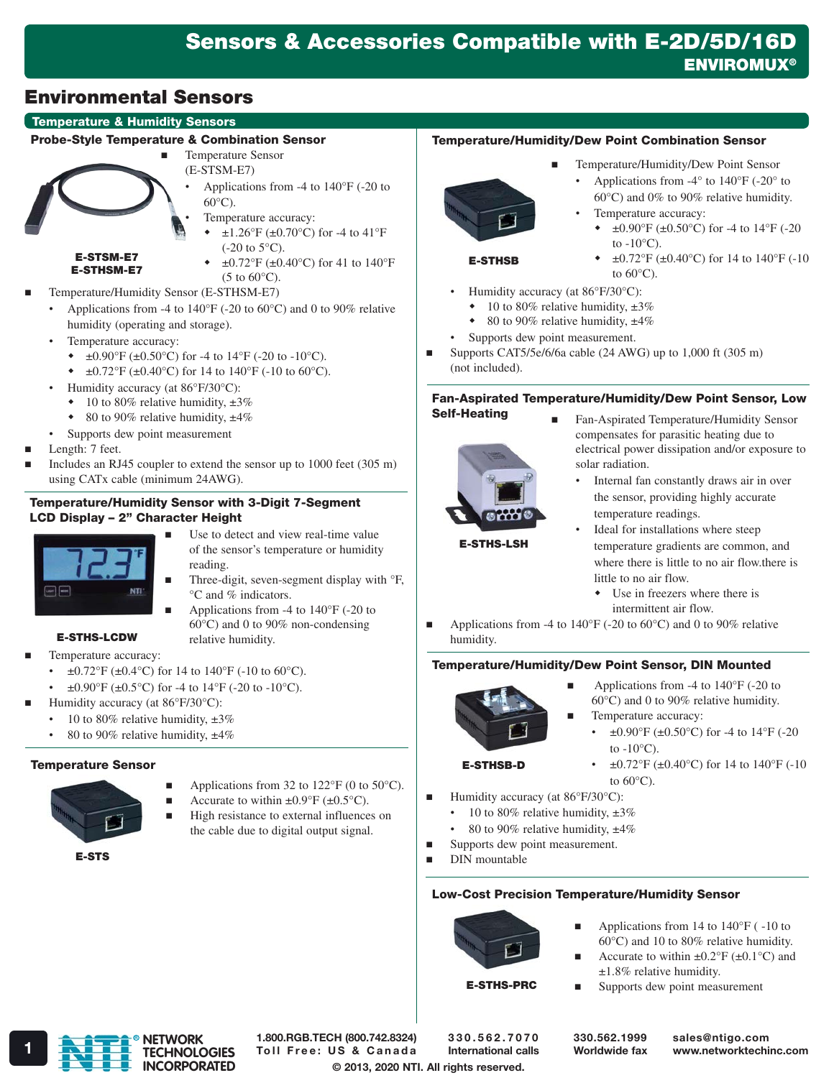# Sensors & Accessories Compatible with E-2D/5D/16D **ENVIROMUX®**

# Environmental Sensors

# Temperature & Humidity Sensors

#### Probe-Style Temperature & Combination Sensor



E-STSM-E7 E-STHSM-E7

- Temperature Sensor (E-STSM-E7) • Applications from -4 to 140°F (-20 to
	- 60°C).
	- Temperature accuracy:
		- $\pm 1.26^{\circ}$ F ( $\pm 0.70^{\circ}$ C) for -4 to 41°F  $(-20 \text{ to } 5^{\circ}\text{C}).$
		- $\pm 0.72$ °F ( $\pm 0.40$ °C) for 41 to 140°F  $(5 \text{ to } 60^{\circ}\text{C}).$
- Temperature/Humidity Sensor (E-STHSM-E7)
- Applications from -4 to  $140^{\circ}$ F (-20 to 60 $^{\circ}$ C) and 0 to 90% relative humidity (operating and storage).
	- Temperature accuracy:
		- $\div$  ±0.90°F (±0.50°C) for -4 to 14°F (-20 to -10°C).
		- $\div$  ±0.72°F (±0.40°C) for 14 to 140°F (-10 to 60°C).
	- Humidity accuracy (at 86°F/30°C):
		- $\cdot$  10 to 80% relative humidity,  $\pm 3\%$
		- $\bullet$  80 to 90% relative humidity,  $\pm 4\%$
	- Supports dew point measurement
- Length: 7 feet.
- Includes an RJ45 coupler to extend the sensor up to 1000 feet (305 m) using CATx cable (minimum 24AWG).

#### Temperature/Humidity Sensor with 3-Digit 7-Segment LCD Display – 2" Character Height

- Use to detect and view real-time value of the sensor's temperature or humidity reading.
	- Three-digit, seven-segment display with °F, °C and % indicators.
- Applications from -4 to 140°F (-20 to 60°C) and 0 to 90% non-condensing relative humidity.
- E-STHS-LCDW Temperature accuracy:
	- $\pm 0.72$ °F ( $\pm 0.4$ °C) for 14 to 140°F (-10 to 60°C).
	- $\pm 0.90^{\circ}$ F ( $\pm 0.5^{\circ}$ C) for -4 to 14°F (-20 to -10°C).
- Humidity accuracy (at 86°F/30°C):
	- 10 to 80% relative humidity,  $\pm 3\%$
	- 80 to 90% relative humidity,  $\pm 4\%$

#### Temperature Sensor



- Applications from 32 to 122°F (0 to 50°C).
- Accurate to within  $\pm 0.9^{\circ}$ F ( $\pm 0.5^{\circ}$ C).
- High resistance to external influences on the cable due to digital output signal.

E-STS

# Temperature/Humidity/Dew Point Combination Sensor



- Temperature/Humidity/Dew Point Sensor
	- Applications from -4° to 140°F (-20° to 60°C) and 0% to 90% relative humidity.
- Temperature accuracy:
	- $\pm 0.90$ °F ( $\pm 0.50$ °C) for -4 to 14°F (-20 to  $-10\degree$ C).

 $\pm 0.72$ °F ( $\pm 0.40$ °C) for 14 to 140°F (-10

E-STHSB

- to  $60^{\circ}$ C).
- Humidity accuracy (at 86°F/30°C):
- $\cdot$  10 to 80% relative humidity,  $\pm 3\%$
- $\bullet$  80 to 90% relative humidity,  $\pm 4\%$
- Supports dew point measurement.
- Supports CAT5/5e/6/6a cable  $(24 \text{ AWG})$  up to 1,000 ft  $(305 \text{ m})$ (not included).

# Fan-Aspirated Temperature/Humidity/Dew Point Sensor, Low

Self-Heating



- Fan-Aspirated Temperature/Humidity Sensor compensates for parasitic heating due to electrical power dissipation and/or exposure to solar radiation.
	- Internal fan constantly draws air in over the sensor, providing highly accurate temperature readings.

E-STHS-LSH

- Ideal for installations where steep temperature gradients are common, and where there is little to no air flow.there is little to no air flow.
	- Use in freezers where there is intermittent air flow.
- Applications from -4 to 140°F (-20 to 60°C) and 0 to 90% relative humidity.

# Temperature/Humidity/Dew Point Sensor, DIN Mounted



- Applications from -4 to 140°F (-20 to 60°C) and 0 to 90% relative humidity.
- Temperature accuracy:
	- $\pm 0.90^{\circ}$ F ( $\pm 0.50^{\circ}$ C) for -4 to 14°F (-20 to  $-10^{\circ}$ C).

# E-STHSB-D

- $\pm 0.72$ °F ( $\pm 0.40$ °C) for 14 to 140°F (-10 to  $60^{\circ}$ C).
- **Humidity accuracy (at 86** $\degree$ **F/30** $\degree$ **C):** 
	- 10 to 80% relative humidity,  $\pm 3\%$
	- 80 to 90% relative humidity,  $\pm 4\%$
	-

#### Low-Cost Precision Temperature/Humidity Sensor



- Applications from 14 to 140°F ( -10 to 60°C) and 10 to 80% relative humidity.
- Accurate to within  $\pm 0.2^{\circ}$ F ( $\pm 0.1^{\circ}$ C) and ±1.8% relative humidity.
- **Supports dew point measurement**



© 2013, 2020 NTI. All rights reserved. 1.800.RGB.TECH (800.742.8324) TECHNOLOGIES Toll Free: US & Canada International calls Worldwide fax www.networktechinc.com

330.562.7070 International calls 330.562.1999 Worldwide fax sales@ntigo.com

- 
- 







- 
- 
- 

- Supports dew point measurement.
- DIN mountable

E-STHS-PRC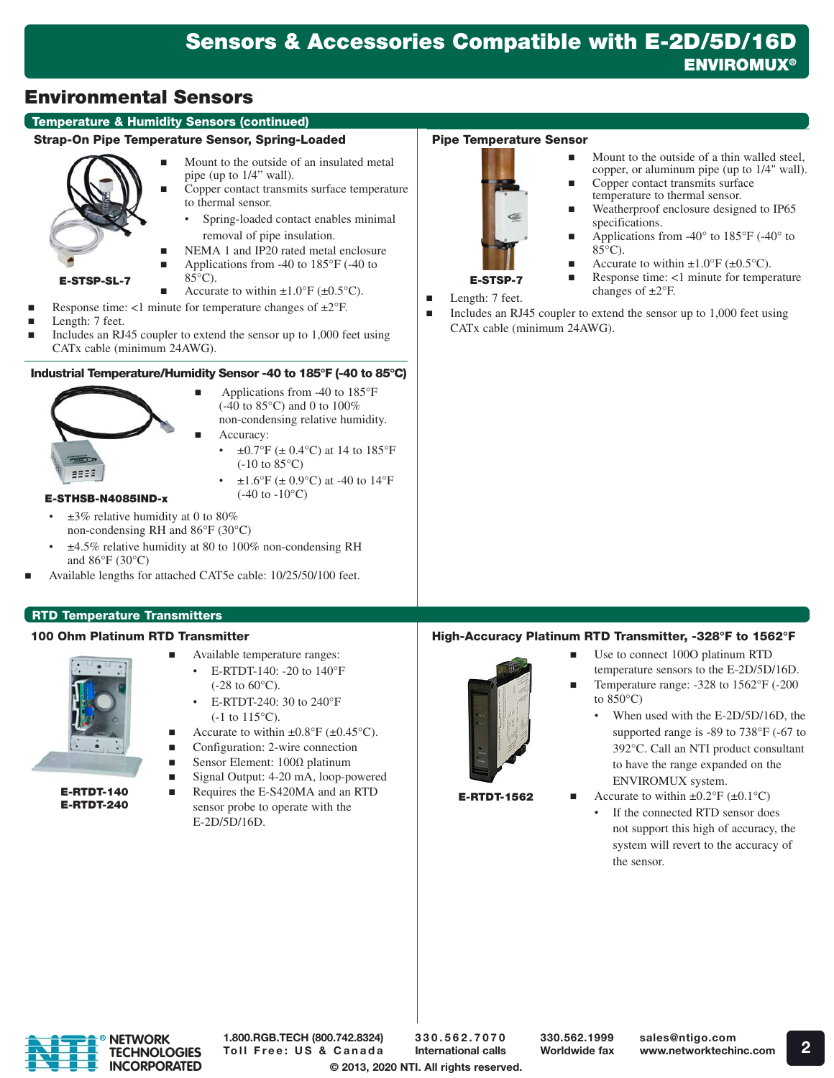# Temperature & Humidity Sensors (continued)

# Strap-On Pipe Temperature Sensor, Spring-Loaded



- Mount to the outside of an insulated metal pipe (up to 1/4" wall).
- Copper contact transmits surface temperature to thermal sensor. • Spring-loaded contact enables minimal
- removal of pipe insulation.
- NEMA 1 and IP20 rated metal enclosure
- Applications from -40 to  $185^{\circ}$ F (-40 to
- E-STSP-SL-7  $85^{\circ}$ C). Accurate to within  $\pm 1.0^{\circ}$ F ( $\pm 0.5^{\circ}$ C).
- Response time:  $\lt 1$  minute for temperature changes of  $\pm 2^{\circ}$ F.
- Length: 7 feet.
- Includes an RJ45 coupler to extend the sensor up to 1,000 feet using CATx cable (minimum 24AWG).

# Industrial Temperature/Humidity Sensor -40 to 185°F (-40 to 85°C)



- (-40 to 85°C) and 0 to 100% non-condensing relative humidity. Accuracy:
	- $\pm 0.7$ °F ( $\pm 0.4$ °C) at 14 to 185°F (-10 to 85°C)

Applications from -40 to 185°F

 $\pm 1.6^{\circ}$ F ( $\pm 0.9^{\circ}$ C) at -40 to 14°F  $(-40 \text{ to } -10^{\circ}\text{C})$ 

# E-STHSB-N4085IND-x

- $\pm 3\%$  relative humidity at 0 to 80% non-condensing RH and 86°F (30°C)
- ±4.5% relative humidity at 80 to 100% non-condensing RH and 86°F (30°C)
- Available lengths for attached CAT5e cable: 10/25/50/100 feet.

# RTD Temperature Transmitters

# 100 Ohm Platinum RTD Transmitter



E-RTDT-140 E-RTDT-240

- Available temperature ranges: • E-RTDT-140: -20 to 140°F  $(-28 \text{ to } 60^{\circ}\text{C}).$ 
	- E-RTDT-240: 30 to 240°F  $(-1$  to  $115^{\circ}$ C).
- Accurate to within  $\pm 0.8^{\circ}$ F ( $\pm 0.45^{\circ}$ C).
- Configuration: 2-wire connection
- Sensor Element: 100Ω platinum
- Signal Output: 4-20 mA, loop-powered
- Requires the E-S420MA and an RTD sensor probe to operate with the E-2D/5D/16D.

# Pipe Temperature Sensor



- Mount to the outside of a thin walled steel, copper, or aluminum pipe (up to 1/4" wall).
- Copper contact transmits surface temperature to thermal sensor.
- Weatherproof enclosure designed to IP65 specifications.
- Applications from -40° to 185°F (-40° to  $85^{\circ}$ C).
- Accurate to within  $\pm 1.0^{\circ}$ F ( $\pm 0.5^{\circ}$ C).
- Response time: <1 minute for temperature Length: 7 feet. changes of  $\pm 2$ °F.
- 
- Includes an RJ45 coupler to extend the sensor up to 1,000 feet using CATx cable (minimum 24AWG).

# High-Accuracy Platinum RTD Transmitter, -328°F to 1562°F



E-RTDT-1562

- Use to connect 100O platinum RTD temperature sensors to the E-2D/5D/16D. Temperature range: -328 to 1562°F (-200 to 850°C)
	- When used with the E-2D/5D/16D, the supported range is -89 to 738°F (-67 to 392°C. Call an NTI product consultant to have the range expanded on the ENVIROMUX system.
	- Accurate to within  $\pm 0.2$ °F ( $\pm 0.1$ °C)
		- If the connected RTD sensor does not support this high of accuracy, the system will revert to the accuracy of the sensor.



1.800.RGB.TECH (800.742.8324) Toll Free: US & Canada

© 2013, 2020 NTI. All rights reserved. 330.562.7070 International calls

330.562.1999 Worldwide fax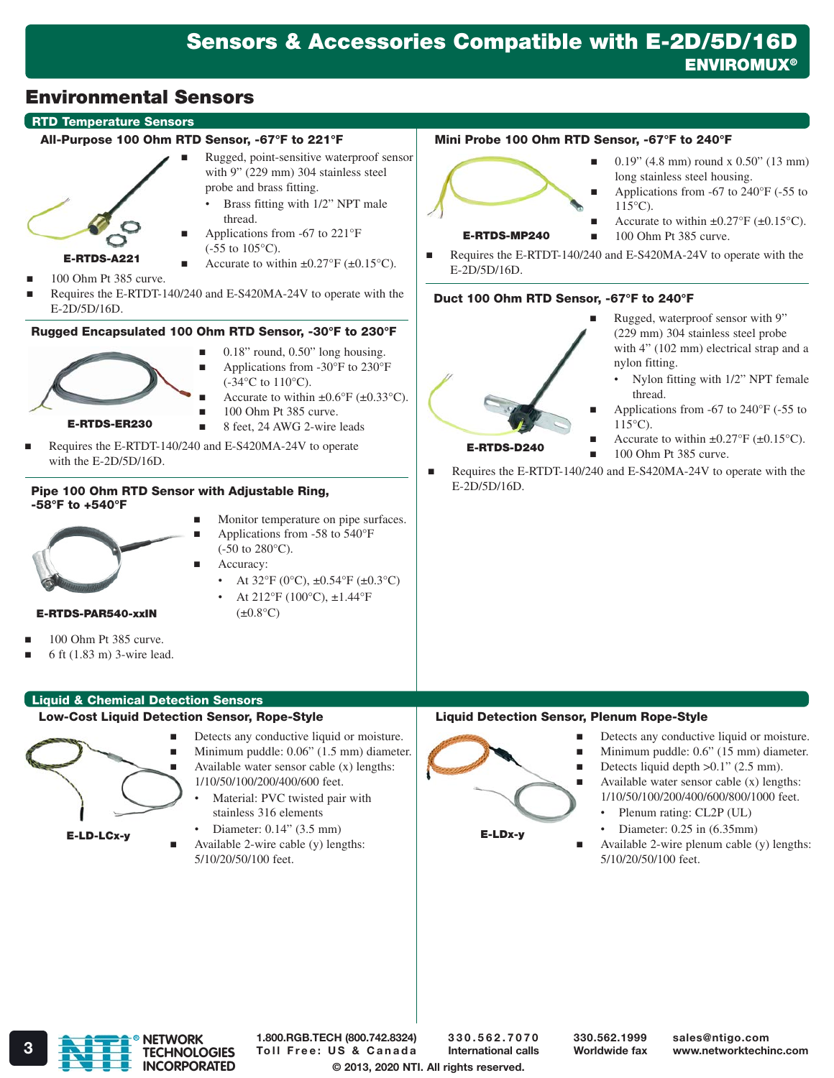## RTD Temperature Sensors

#### All-Purpose 100 Ohm RTD Sensor, -67°F to 221°F

 Rugged, point-sensitive waterproof sensor with 9" (229 mm) 304 stainless steel probe and brass fitting.

• Brass fitting with 1/2" NPT male



- thread. Applications from -67 to 221°F (-55 to 105°C).
- Accurate to within  $\pm 0.27$ °F ( $\pm 0.15$ °C).
- 100 Ohm Pt 385 curve.
- Requires the E-RTDT-140/240 and E-S420MA-24V to operate with the E-2D/5D/16D.

# Rugged Encapsulated 100 Ohm RTD Sensor, -30°F to 230°F



- 0.18" round, 0.50" long housing.
- Applications from -30°F to 230°F (-34°C to 110°C).
- Accurate to within  $\pm 0.6^{\circ}$ F ( $\pm 0.33^{\circ}$ C).
- 100 Ohm Pt 385 curve.
- 8 feet, 24 AWG 2-wire leads
- Requires the E-RTDT-140/240 and E-S420MA-24V to operate with the E-2D/5D/16D.

#### Pipe 100 Ohm RTD Sensor with Adjustable Ring, -58°F to +540°F



 Applications from -58 to 540°F (-50 to 280°C).

**Monitor temperature on pipe surfaces.** 

- Accuracy:
	- At  $32^{\circ}F (0^{\circ}C)$ ,  $\pm 0.54^{\circ}F (\pm 0.3^{\circ}C)$ • At 212°F (100°C), ±1.44°F
		- $(\pm 0.8$ °C)

Mini Probe 100 Ohm RTD Sensor, -67°F to 240°F



E-RTDS-MP240

- 0.19" (4.8 mm) round x 0.50" (13 mm) long stainless steel housing.
- Applications from -67 to 240°F (-55 to  $115^{\circ}$ C).
- Accurate to within  $\pm 0.27$ °F ( $\pm 0.15$ °C).
- 100 Ohm Pt 385 curve.
- Requires the E-RTDT-140/240 and E-S420MA-24V to operate with the E-2D/5D/16D.

# Duct 100 Ohm RTD Sensor, -67°F to 240°F



- Rugged, waterproof sensor with 9" (229 mm) 304 stainless steel probe with 4" (102 mm) electrical strap and a nylon fitting.
	- Nylon fitting with 1/2" NPT female thread.
- Applications from -67 to 240°F (-55 to  $115^{\circ}$ C).
- Accurate to within  $\pm 0.27$ °F ( $\pm 0.15$ °C).
- $100$  Ohm Pt 385 curve.
- Requires the E-RTDT-140/240 and E-S420MA-24V to operate with the E-2D/5D/16D.

#### E-RTDS-PAR540-xxIN

- 100 Ohm Pt 385 curve.
- 6 ft (1.83 m) 3-wire lead.

# Liquid & Chemical Detection Sensors

# Low-Cost Liquid Detection Sensor, Rope-Style



- Detects any conductive liquid or moisture. Minimum puddle: 0.06" (1.5 mm) diameter. Available water sensor cable (x) lengths:
	- 1/10/50/100/200/400/600 feet. Material: PVC twisted pair with
		- stainless 316 elements • Diameter: 0.14" (3.5 mm)
	- Available 2-wire cable (y) lengths: 5/10/20/50/100 feet.



- Detects any conductive liquid or moisture.
- Minimum puddle: 0.6" (15 mm) diameter. Detects liquid depth  $>0.1$ " (2.5 mm).
- Available water sensor cable  $(x)$  lengths: 1/10/50/100/200/400/600/800/1000 feet.
	- Plenum rating: CL2P (UL) • Diameter: 0.25 in (6.35mm)
- E-LDx-y

Liquid Detection Sensor, Plenum Rope-Style

 Available 2-wire plenum cable (y) lengths: 5/10/20/50/100 feet.

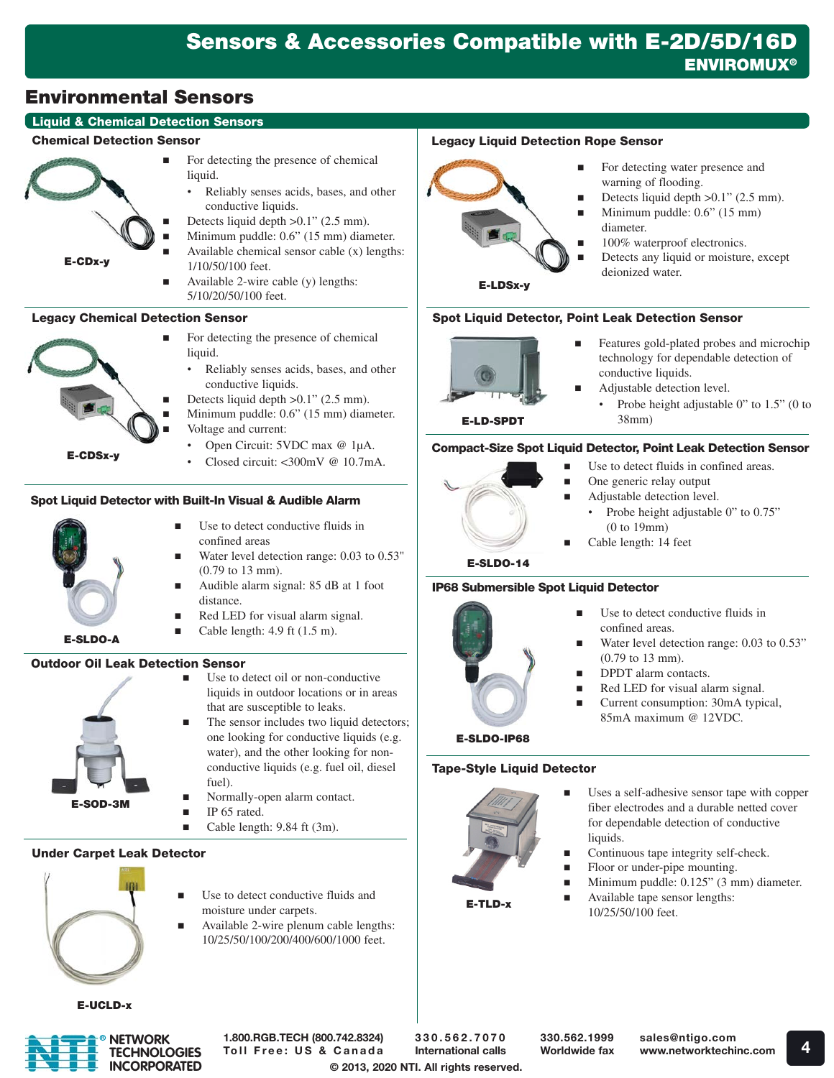# **Liquid & Chemical Detection Sensors**

#### Chemical Detection Sensor

E-CDx-y

- For detecting the presence of chemical liquid.
	- Reliably senses acids, bases, and other conductive liquids.
	- Detects liquid depth >0.1" (2.5 mm).
	- Minimum puddle: 0.6" (15 mm) diameter.
	- Available chemical sensor cable (x) lengths: 1/10/50/100 feet.
	- Available 2-wire cable (y) lengths: 5/10/20/50/100 feet.

# Legacy Chemical Detection Sensor

- For detecting the presence of chemical liquid.
	- Reliably senses acids, bases, and other conductive liquids.
	- Detects liquid depth >0.1" (2.5 mm).
	- Minimum puddle: 0.6" (15 mm) diameter. Voltage and current:
	- Open Circuit: 5VDC max @ 1µA.
		- Closed circuit:  $\epsilon$ 300mV @ 10.7mA

# Spot Liquid Detector with Built-In Visual & Audible Alarm



E-CDSx-y

- confined areas Water level detection range: 0.03 to 0.53"
- (0.79 to 13 mm). Audible alarm signal: 85 dB at 1 foot distance.

■ Use to detect oil or non-conductive liquids in outdoor locations or in areas

that are susceptible to leaks.

Normally-open alarm contact.

 The sensor includes two liquid detectors; one looking for conductive liquids (e.g. water), and the other looking for nonconductive liquids (e.g. fuel oil, diesel

- Red LED for visual alarm signal.
- Cable length: 4.9 ft (1.5 m).

# Outdoor Oil Leak Detection Sensor



- 
- E-SOD-3M
- IP 65 rated. Cable length: 9.84 ft (3m).

fuel).

# Under Carpet Leak Detector



- Use to detect conductive fluids and moisture under carpets.
- Available 2-wire plenum cable lengths: 10/25/50/100/200/400/600/1000 feet.

# Legacy Liquid Detection Rope Sensor

- For detecting water presence and warning of flooding.
- Detects liquid depth  $>0.1$ " (2.5 mm).
- Minimum puddle: 0.6" (15 mm) diameter.
- 100% waterproof electronics.
- Detects any liquid or moisture, except deionized water.

E-LDSx-y

# Spot Liquid Detector, Point Leak Detection Sensor



- **Features gold-plated probes and microchip** technology for dependable detection of conductive liquids.
- Adjustable detection level.
	- Probe height adjustable 0" to 1.5" (0 to 38mm)

# Compact-Size Spot Liquid Detector, Point Leak Detection Sensor



- Use to detect fluids in confined areas.
- One generic relay output
- Adjustable detection level.
	- Probe height adjustable 0" to 0.75" (0 to 19mm)
- Cable length: 14 feet

E-SLDO-14

# IP68 Submersible Spot Liquid Detector



- Use to detect conductive fluids in confined areas.
- Water level detection range: 0.03 to 0.53" (0.79 to 13 mm).
- **DPDT** alarm contacts.
- Red LED for visual alarm signal.
- Current consumption: 30mA typical, 85mA maximum @ 12VDC.

# E-SLDO-IP68

# Tape-Style Liquid Detector



- Uses a self-adhesive sensor tape with copper fiber electrodes and a durable netted cover for dependable detection of conductive liquids.
- Continuous tape integrity self-check.
- **Floor or under-pipe mounting.**
- **Minimum puddle: 0.125" (3 mm) diameter.**
- **Available tape sensor lengths:** 10/25/50/100 feet.

E-UCLD-x



1.800.RGB.TECH (800.742.8324) Toll Free: US & Canada

© 2013, 2020 NTI. All rights reserved. 330.562.7070 International calls

330.562.1999 Worldwide fax



Use to detect conductive fluids in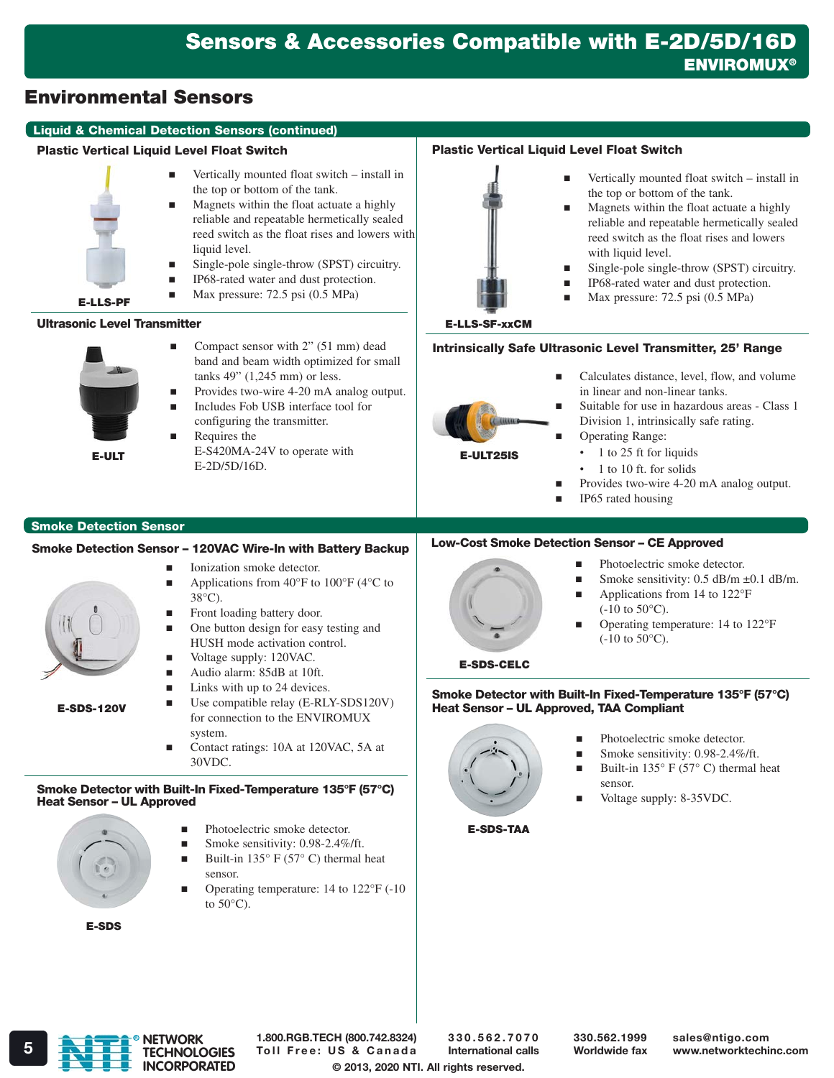#### Liquid & Chemical Detection Sensors (continued)

#### Plastic Vertical Liquid Level Float Switch

- Vertically mounted float switch install in the top or bottom of the tank. reed switch as the float rises and lowers with
	- Magnets within the float actuate a highly reliable and repeatable hermetically sealed
	- liquid level.
	- Single-pole single-throw (SPST) circuitry.
		- IP68-rated water and dust protection. Max pressure: 72.5 psi (0.5 MPa)
- E-LLS-PF

#### Ultrasonic Level Transmitter



- Compact sensor with  $2$ " (51 mm) dead band and beam width optimized for small tanks 49" (1,245 mm) or less. ■ Provides two-wire 4-20 mA analog output. Includes Fob USB interface tool for
- configuring the transmitter. Requires the
	- E-2D/5D/16D.

# Smoke Detection Sensor

#### Smoke Detection Sensor – 120VAC Wire-In with Battery Backup

- Ionization smoke detector.
- Applications from  $40^{\circ}$ F to  $100^{\circ}$ F (4 $^{\circ}$ C to 38°C).
- Front loading battery door.
- **n** One button design for easy testing and HUSH mode activation control.
	- Voltage supply: 120VAC.
- Audio alarm: 85dB at 10ft.
- Links with up to 24 devices.
- Use compatible relay (E-RLY-SDS120V) for connection to the ENVIROMUX system.
	- Contact ratings: 10A at 120VAC, 5A at 30VDC.

#### Smoke Detector with Built-In Fixed-Temperature 135°F (57°C) Heat Sensor – UL Approved



E-SDS-120V

- **Photoelectric smoke detector.**
- Smoke sensitivity: 0.98-2.4%/ft.
- Built-in 135° F (57° C) thermal heat sensor.
- Operating temperature: 14 to 122°F (-10 to  $50^{\circ}$ C).

E-SDS



- Vertically mounted float switch install in the top or bottom of the tank.
- Magnets within the float actuate a highly reliable and repeatable hermetically sealed reed switch as the float rises and lowers with liquid level.
- Single-pole single-throw (SPST) circuitry.

Calculates distance, level, flow, and volume

Suitable for use in hazardous areas - Class 1

- IP68-rated water and dust protection.
- Max pressure: 72.5 psi (0.5 MPa)

in linear and non-linear tanks.

Division 1, intrinsically safe rating.

#### E-LLS-SF-xxCM

# Intrinsically Safe Ultrasonic Level Transmitter, 25' Range



• 1 to 25 ft for liquids

Operating Range:

- 1 to 10 ft. for solids
- Provides two-wire 4-20 mA analog output.
- IP65 rated housing

# Low-Cost Smoke Detection Sensor – CE Approved



- Photoelectric smoke detector.
- Smoke sensitivity: 0.5 dB/m  $\pm$ 0.1 dB/m.
- Applications from 14 to 122°F  $(-10 \text{ to } 50^{\circ}\text{C}).$
- Operating temperature: 14 to 122°F  $(-10 \text{ to } 50^{\circ}\text{C}).$

# E-SDS-CELC

Smoke Detector with Built-In Fixed-Temperature 135°F (57°C) Heat Sensor – UL Approved, TAA Compliant



- **Photoelectric smoke detector.**
- Smoke sensitivity:  $0.98-2.4\%$ /ft.
- Built-in  $135^{\circ}$  F (57° C) thermal heat sensor.
- Voltage supply: 8-35VDC.

E-SDS-TAA







**E-ULT**  $E-S420MA-24V$  to operate with **E-ULT25IS**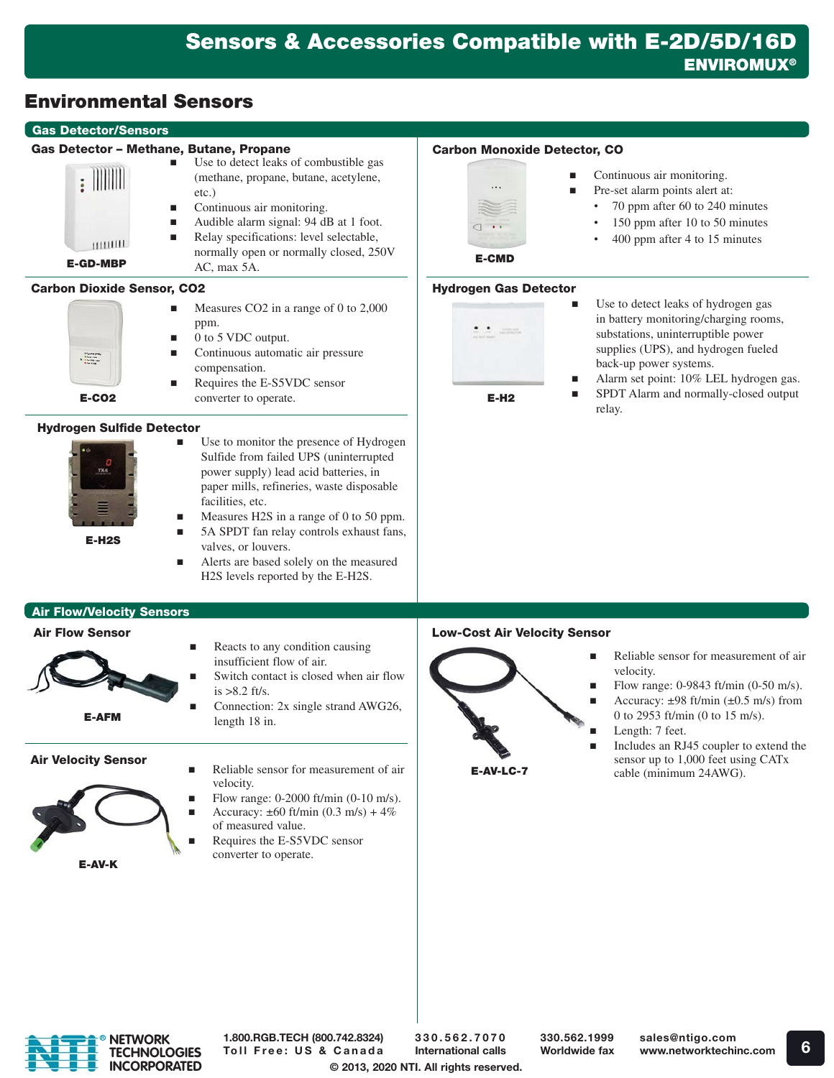#### Gas Detector/Sensors Gas Detector – Methane, Butane, Propane Use to detect leaks of combustible gas  $: \mathbb{N} \mathbb{N}$ (methane, propane, butane, acetylene, etc.) **Continuous air monitoring.** ■ Audible alarm signal: 94 dB at 1 foot. Relay specifications: level selectable, muut normally open or normally closed, 250V E-GD-MBP AC, max 5A. Carbon Dioxide Sensor, CO2 Measures CO2 in a range of 0 to 2,000 ppm.  $\blacksquare$  0 to 5 VDC output. **Continuous automatic air pressure**  $\begin{array}{r} \text{Col}_3\left(\sigma_{10}\right)\text{proj}_3\\ \text{O}(\sigma_{10}\right)\text{proj}_3\\ \text{O}(\sigma_{10}\right)\text{proj}_3\\ \text{O}(\sigma_{10}\right)\text{proj}_3\\ \text{O}(\sigma_{10}\right)\text{proj}_3\\ \text{O}(\sigma_{10}\right)\text{proj}_3\\ \end{array}$ compensation. Requires the E-S5VDC sensor

E-CO2

# Hydrogen Sulfide Detector



E-H2S

 Use to monitor the presence of Hydrogen Sulfide from failed UPS (uninterrupted power supply) lead acid batteries, in paper mills, refineries, waste disposable facilities, etc.

converter to operate.

- Measures H2S in a range of 0 to 50 ppm. 5A SPDT fan relay controls exhaust fans,
	- valves, or louvers. Alerts are based solely on the measured H2S levels reported by the E-H2S.

# Carbon Monoxide Detector, CO



- Continuous air monitoring.
	- Pre-set alarm points alert at:
		- 70 ppm after 60 to 240 minutes
		- 150 ppm after 10 to 50 minutes
		- 400 ppm after 4 to 15 minutes

E-CMD

#### Hydrogen Gas Detector



- Use to detect leaks of hydrogen gas in battery monitoring/charging rooms, substations, uninterruptible power supplies (UPS), and hydrogen fueled back-up power systems.
- Alarm set point: 10% LEL hydrogen gas.
- **SPDT** Alarm and normally-closed output relay.

# Air Flow/Velocity Sensors

#### Air Flow Sensor



insufficient flow of air. Switch contact is closed when air flow  $is > 8.2$  ft/s.

 $\blacksquare$  Reacts to any condition causing

Connection: 2x single strand AWG26,

# Air Velocity Sensor

- E-AV-K
- length 18 in.
- Reliable sensor for measurement of air velocity. Flow range: 0-2000 ft/min (0-10 m/s).
- Accuracy:  $\pm 60$  ft/min (0.3 m/s) + 4% of measured value.
- Requires the E-S5VDC sensor converter to operate.

# Low-Cost Air Velocity Sensor



- Reliable sensor for measurement of air velocity.
- Flow range: 0-9843 ft/min (0-50 m/s).
- Accuracy:  $\pm 98$  ft/min ( $\pm 0.5$  m/s) from 0 to 2953 ft/min (0 to 15 m/s).
- Length: 7 feet.
- Includes an RJ45 coupler to extend the sensor up to 1,000 feet using CATx cable (minimum 24AWG).



1.800.RGB.TECH (800.742.8324) Toll Free: US & Canada

© 2013, 2020 NTI. All rights reserved. 330.562.7070 International calls

330.562.1999 Worldwide fax